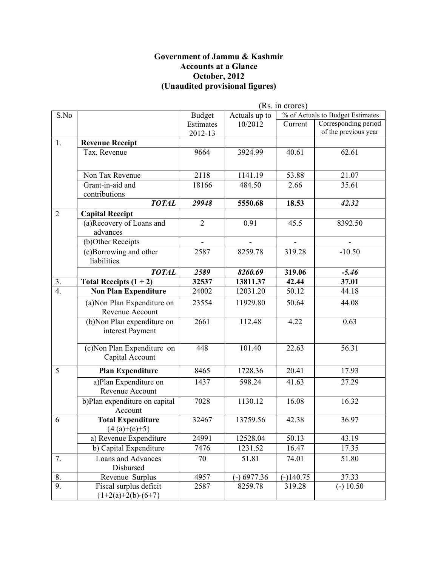#### **Government of Jammu & Kashmir Accounts at a Glance October, 2012 (Unaudited provisional figures)**

|                  |                                                 | (Rs. in crores) |               |                |                                  |
|------------------|-------------------------------------------------|-----------------|---------------|----------------|----------------------------------|
| S.No             |                                                 | <b>Budget</b>   | Actuals up to |                | % of Actuals to Budget Estimates |
|                  |                                                 | Estimates       | 10/2012       | Current        | Corresponding period             |
|                  |                                                 | 2012-13         |               |                | of the previous year             |
| 1.               | <b>Revenue Receipt</b>                          |                 |               |                |                                  |
|                  | Tax. Revenue                                    | 9664            | 3924.99       | 40.61          | 62.61                            |
|                  | Non Tax Revenue                                 | 2118            | 1141.19       | 53.88          | 21.07                            |
|                  | Grant-in-aid and                                | 18166           | 484.50        | 2.66           | 35.61                            |
|                  | contributions                                   |                 |               |                |                                  |
|                  | <b>TOTAL</b>                                    | 29948           | 5550.68       | 18.53          | 42.32                            |
| $\overline{2}$   | <b>Capital Receipt</b>                          |                 |               |                |                                  |
|                  | (a)Recovery of Loans and<br>advances            | $\overline{2}$  | 0.91          | 45.5           | 8392.50                          |
|                  | (b)Other Receipts                               | $\blacksquare$  |               | $\blacksquare$ |                                  |
|                  | (c)Borrowing and other<br>liabilities           | 2587            | 8259.78       | 319.28         | $-10.50$                         |
|                  | <b>TOTAL</b>                                    | 2589            | 8260.69       | 319.06         | $-5.46$                          |
| 3.               | Total Receipts $(1 + 2)$                        | 32537           | 13811.37      | 42.44          | 37.01                            |
| $\overline{4}$ . | <b>Non Plan Expenditure</b>                     | 24002           | 12031.20      | 50.12          | 44.18                            |
|                  | (a) Non Plan Expenditure on<br>Revenue Account  | 23554           | 11929.80      | 50.64          | 44.08                            |
|                  | (b) Non Plan expenditure on<br>interest Payment | 2661            | 112.48        | 4.22           | 0.63                             |
|                  | (c) Non Plan Expenditure on<br>Capital Account  | 448             | 101.40        | 22.63          | 56.31                            |
| 5                | <b>Plan Expenditure</b>                         | 8465            | 1728.36       | 20.41          | 17.93                            |
|                  | a)Plan Expenditure on<br>Revenue Account        | 1437            | 598.24        | 41.63          | 27.29                            |
|                  | b)Plan expenditure on capital<br>Account        | 7028            | 1130.12       | 16.08          | 16.32                            |
| 6                | <b>Total Expenditure</b><br>${4 (a)+(c)+5}$     | 32467           | 13759.56      | 42.38          | 36.97                            |
|                  | a) Revenue Expenditure                          | 24991           | 12528.04      | 50.13          | 43.19                            |
|                  | b) Capital Expenditure                          | 7476            | 1231.52       | 16.47          | 17.35                            |
| 7.               | Loans and Advances<br>Disbursed                 | 70              | 51.81         | 74.01          | 51.80                            |
| 8.               | Revenue Surplus                                 | 4957            | $(-) 6977.36$ | $(-)140.75$    | 37.33                            |
| 9.               | Fiscal surplus deficit<br>${1+2(a)+2(b)-(6+7)}$ | 2587            | 8259.78       | 319.28         | $(-) 10.50$                      |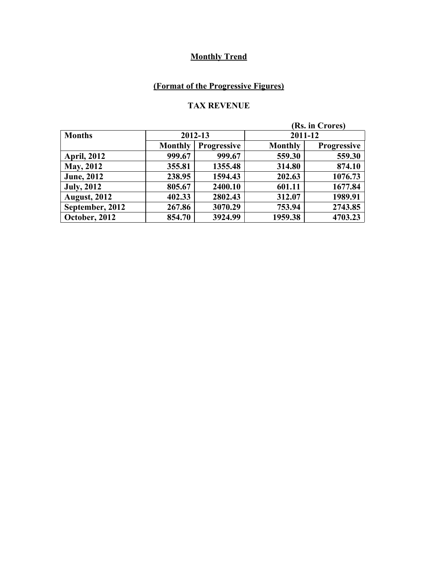### **(Format of the Progressive Figures)**

### **TAX REVENUE**

|                     |                |                    |                | (Rs. in Crores)    |  |
|---------------------|----------------|--------------------|----------------|--------------------|--|
| <b>Months</b>       | 2012-13        |                    |                | 2011-12            |  |
|                     | <b>Monthly</b> | <b>Progressive</b> | <b>Monthly</b> | <b>Progressive</b> |  |
| <b>April, 2012</b>  | 999.67         | 999.67             | 559.30         | 559.30             |  |
| <b>May, 2012</b>    | 355.81         | 1355.48            | 314.80         | 874.10             |  |
| <b>June</b> , 2012  | 238.95         | 1594.43            | 202.63         | 1076.73            |  |
| <b>July, 2012</b>   | 805.67         | 2400.10            | 601.11         | 1677.84            |  |
| <b>August, 2012</b> | 402.33         | 2802.43            | 312.07         | 1989.91            |  |
| September, 2012     | 267.86         | 3070.29            | 753.94         | 2743.85            |  |
| October, 2012       | 854.70         | 3924.99            | 1959.38        | 4703.23            |  |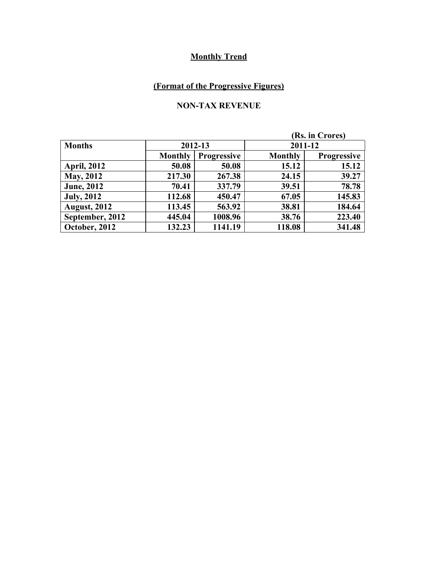### **(Format of the Progressive Figures)**

### **NON-TAX REVENUE**

| (Rs. in Crores)     |                |                    |                |                    |
|---------------------|----------------|--------------------|----------------|--------------------|
| <b>Months</b>       |                | 2012-13            |                | 2011-12            |
|                     | <b>Monthly</b> | <b>Progressive</b> | <b>Monthly</b> | <b>Progressive</b> |
| <b>April, 2012</b>  | 50.08          | 50.08              | 15.12          | 15.12              |
| <b>May, 2012</b>    | 217.30         | 267.38             | 24.15          | 39.27              |
| <b>June</b> , 2012  | 70.41          | 337.79             | 39.51          | 78.78              |
| <b>July, 2012</b>   | 112.68         | 450.47             | 67.05          | 145.83             |
| <b>August, 2012</b> | 113.45         | 563.92             | 38.81          | 184.64             |
| September, 2012     | 445.04         | 1008.96            | 38.76          | 223.40             |
| October, 2012       | 132.23         | 1141.19            | 118.08         | 341.48             |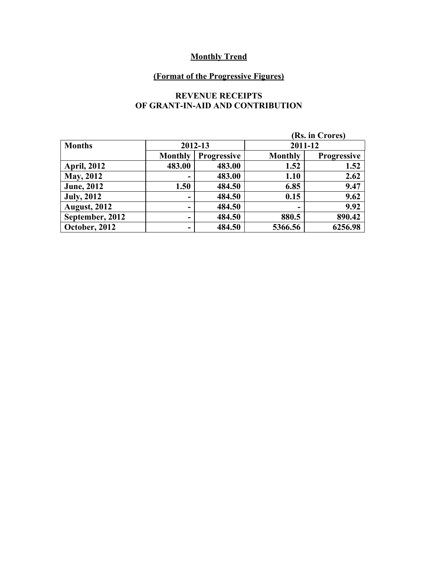#### **(Format of the Progressive Figures)**

#### **REVENUE RECEIPTS OF GRANT-IN-AID AND CONTRIBUTION**

|                     |                |                    |                | (Rs. in Crores)    |
|---------------------|----------------|--------------------|----------------|--------------------|
| <b>Months</b>       |                | 2012-13            |                | 2011-12            |
|                     | <b>Monthly</b> | <b>Progressive</b> | <b>Monthly</b> | <b>Progressive</b> |
| <b>April, 2012</b>  | 483.00         | 483.00             | 1.52           | 1.52               |
| <b>May, 2012</b>    |                | 483.00             | 1.10           | 2.62               |
| <b>June</b> , 2012  | 1.50           | 484.50             | 6.85           | 9.47               |
| <b>July, 2012</b>   |                | 484.50             | 0.15           | 9.62               |
| <b>August, 2012</b> | -              | 484.50             | -              | 9.92               |
| September, 2012     | -              | 484.50             | 880.5          | 890.42             |
| October, 2012       | -              | 484.50             | 5366.56        | 6256.98            |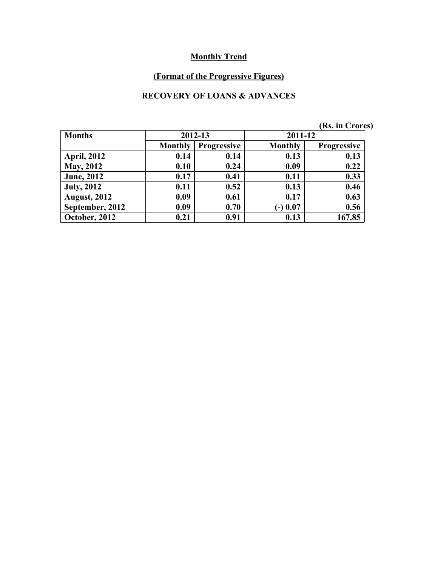### **(Format of the Progressive Figures)**

### **RECOVERY OF LOANS & ADVANCES**

|                     |                |                    |                | $1000$ $111$ $0100$ |
|---------------------|----------------|--------------------|----------------|---------------------|
| <b>Months</b>       |                | 2012-13            |                | 2011-12             |
|                     | <b>Monthly</b> | <b>Progressive</b> | <b>Monthly</b> | <b>Progressive</b>  |
| <b>April, 2012</b>  | 0.14           | 0.14               | 0.13           | 0.13                |
| <b>May, 2012</b>    | 0.10           | 0.24               | 0.09           | 0.22                |
| <b>June, 2012</b>   | 0.17           | 0.41               | 0.11           | 0.33                |
| <b>July, 2012</b>   | 0.11           | 0.52               | 0.13           | 0.46                |
| <b>August, 2012</b> | 0.09           | 0.61               | 0.17           | 0.63                |
| September, 2012     | 0.09           | 0.70               | $(-) 0.07$     | 0.56                |
| October, 2012       | 0.21           | 0.91               | 0.13           | 167.85              |

**(Rs. in Crores)**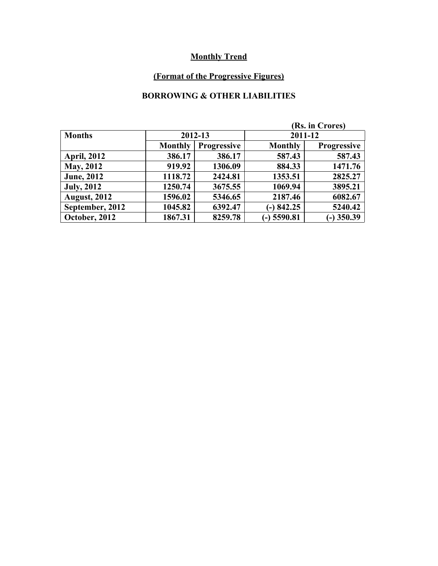### **(Format of the Progressive Figures)**

### **BORROWING & OTHER LIABILITIES**

|                     |                |                    |                | (Rs. in Crores)    |  |
|---------------------|----------------|--------------------|----------------|--------------------|--|
| <b>Months</b>       |                | 2012-13            |                | 2011-12            |  |
|                     | <b>Monthly</b> | <b>Progressive</b> | <b>Monthly</b> | <b>Progressive</b> |  |
| <b>April, 2012</b>  | 386.17         | 386.17             | 587.43         | 587.43             |  |
| <b>May, 2012</b>    | 919.92         | 1306.09            | 884.33         | 1471.76            |  |
| <b>June, 2012</b>   | 1118.72        | 2424.81            | 1353.51        | 2825.27            |  |
| <b>July, 2012</b>   | 1250.74        | 3675.55            | 1069.94        | 3895.21            |  |
| <b>August, 2012</b> | 1596.02        | 5346.65            | 2187.46        | 6082.67            |  |
| September, 2012     | 1045.82        | 6392.47            | $-)842.25$     | 5240.42            |  |
| October, 2012       | 1867.31        | 8259.78            | $(-)$ 5590.81  | $(-)$ 350.39       |  |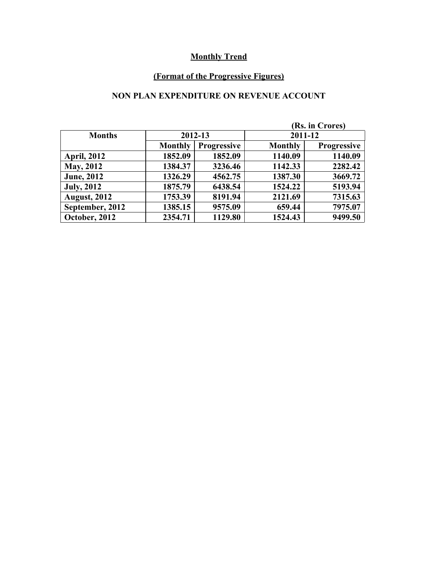### **(Format of the Progressive Figures)**

### **NON PLAN EXPENDITURE ON REVENUE ACCOUNT**

|                     |                |                    |                | (Rs. in Crores)    |  |
|---------------------|----------------|--------------------|----------------|--------------------|--|
| <b>Months</b>       |                | 2012-13            |                | 2011-12            |  |
|                     | <b>Monthly</b> | <b>Progressive</b> | <b>Monthly</b> | <b>Progressive</b> |  |
| <b>April, 2012</b>  | 1852.09        | 1852.09            | 1140.09        | 1140.09            |  |
| <b>May, 2012</b>    | 1384.37        | 3236.46            | 1142.33        | 2282.42            |  |
| <b>June</b> , 2012  | 1326.29        | 4562.75            | 1387.30        | 3669.72            |  |
| <b>July, 2012</b>   | 1875.79        | 6438.54            | 1524.22        | 5193.94            |  |
| <b>August, 2012</b> | 1753.39        | 8191.94            | 2121.69        | 7315.63            |  |
| September, 2012     | 1385.15        | 9575.09            | 659.44         | 7975.07            |  |
| October, 2012       | 2354.71        | 1129.80            | 1524.43        | 9499.50            |  |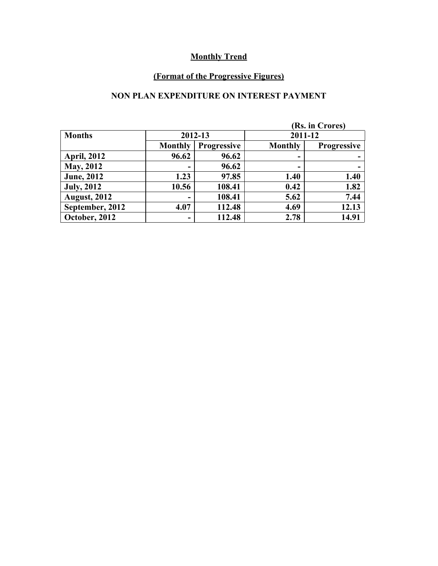### **(Format of the Progressive Figures)**

### **NON PLAN EXPENDITURE ON INTEREST PAYMENT**

|                      |                |                    |                | (Rs. in Crores)    |  |
|----------------------|----------------|--------------------|----------------|--------------------|--|
| <b>Months</b>        |                | 2012-13            |                | 2011-12            |  |
|                      | <b>Monthly</b> | <b>Progressive</b> | <b>Monthly</b> | <b>Progressive</b> |  |
| <b>April, 2012</b>   | 96.62          | 96.62              | ٠              |                    |  |
| <b>May, 2012</b>     | -              | 96.62              | -              |                    |  |
| <b>June</b> , 2012   | 1.23           | 97.85              | 1.40           | 1.40               |  |
| <b>July, 2012</b>    | 10.56          | 108.41             | 0.42           | 1.82               |  |
| <b>August, 2012</b>  |                | 108.41             | 5.62           | 7.44               |  |
| September, 2012      | 4.07           | 112.48             | 4.69           | 12.13              |  |
| <b>October, 2012</b> | -              | 112.48             | 2.78           | 14.91              |  |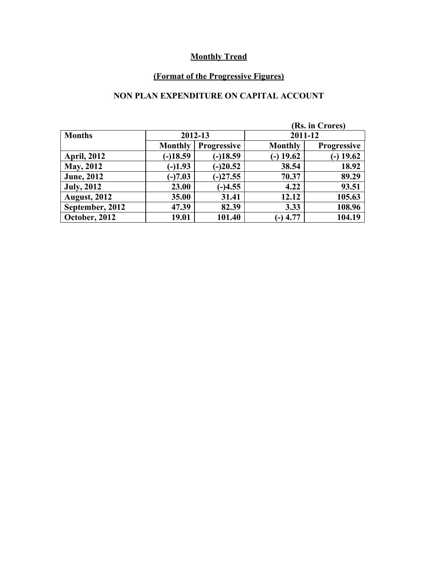# **(Format of the Progressive Figures)**

### **NON PLAN EXPENDITURE ON CAPITAL ACCOUNT**

|                     |                |                    |                | (Rs. in Crores)    |  |
|---------------------|----------------|--------------------|----------------|--------------------|--|
| <b>Months</b>       | 2012-13        |                    |                | 2011-12            |  |
|                     | <b>Monthly</b> | <b>Progressive</b> | <b>Monthly</b> | <b>Progressive</b> |  |
| <b>April, 2012</b>  | $(-)18.59$     | $(-)18.59$         | $(-)$ 19.62    | $-$ ) 19.62        |  |
| <b>May, 2012</b>    | $(-)1.93$      | $(-)20.52$         | 38.54          | 18.92              |  |
| <b>June</b> , 2012  | $(-)7.03$      | $(-)27.55$         | 70.37          | 89.29              |  |
| <b>July, 2012</b>   | 23.00          | $(-)4.55$          | 4.22           | 93.51              |  |
| <b>August, 2012</b> | 35.00          | 31.41              | 12.12          | 105.63             |  |
| September, 2012     | 47.39          | 82.39              | 3.33           | 108.96             |  |
| October, 2012       | 19.01          | 101.40             | $(-)$ 4.77     | 104.19             |  |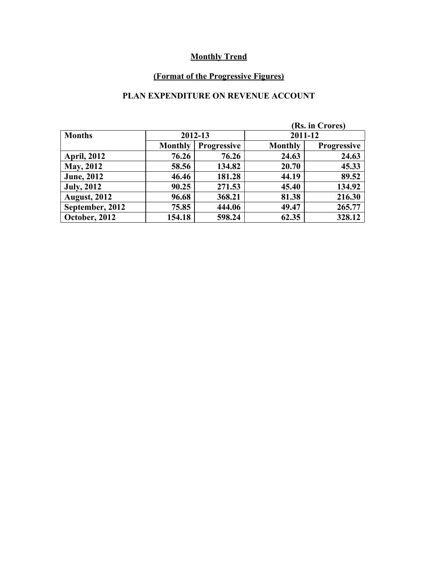### **(Format of the Progressive Figures)**

### **PLAN EXPENDITURE ON REVENUE ACCOUNT**

|                     |                |                    |                | (Rs. in Crores)    |  |
|---------------------|----------------|--------------------|----------------|--------------------|--|
| <b>Months</b>       |                | 2012-13            |                | 2011-12            |  |
|                     | <b>Monthly</b> | <b>Progressive</b> | <b>Monthly</b> | <b>Progressive</b> |  |
| <b>April, 2012</b>  | 76.26          | 76.26              | 24.63          | 24.63              |  |
| <b>May, 2012</b>    | 58.56          | 134.82             | 20.70          | 45.33              |  |
| <b>June</b> , 2012  | 46.46          | 181.28             | 44.19          | 89.52              |  |
| <b>July, 2012</b>   | 90.25          | 271.53             | 45.40          | 134.92             |  |
| <b>August, 2012</b> | 96.68          | 368.21             | 81.38          | 216.30             |  |
| September, 2012     | 75.85          | 444.06             | 49.47          | 265.77             |  |
| October, 2012       | 154.18         | 598.24             | 62.35          | 328.12             |  |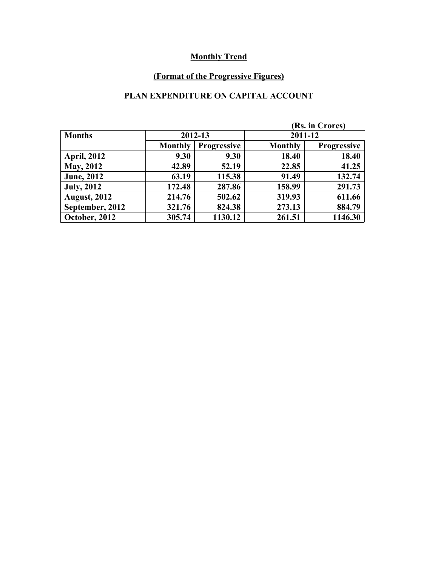### **(Format of the Progressive Figures)**

### **PLAN EXPENDITURE ON CAPITAL ACCOUNT**

|                     |                |                    |                | (Rs. in Crores)    |  |
|---------------------|----------------|--------------------|----------------|--------------------|--|
| <b>Months</b>       | 2012-13        |                    |                | 2011-12            |  |
|                     | <b>Monthly</b> | <b>Progressive</b> | <b>Monthly</b> | <b>Progressive</b> |  |
| <b>April, 2012</b>  | 9.30           | 9.30               | 18.40          | 18.40              |  |
| <b>May, 2012</b>    | 42.89          | 52.19              | 22.85          | 41.25              |  |
| <b>June</b> , 2012  | 63.19          | 115.38             | 91.49          | 132.74             |  |
| <b>July, 2012</b>   | 172.48         | 287.86             | 158.99         | 291.73             |  |
| <b>August, 2012</b> | 214.76         | 502.62             | 319.93         | 611.66             |  |
| September, 2012     | 321.76         | 824.38             | 273.13         | 884.79             |  |
| October, 2012       | 305.74         | 1130.12            | 261.51         | 1146.30            |  |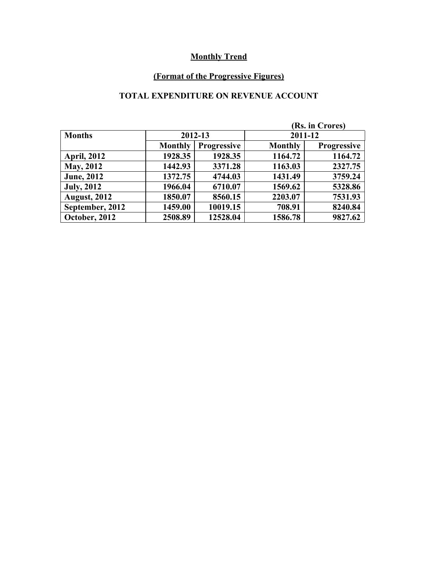### **(Format of the Progressive Figures)**

### **TOTAL EXPENDITURE ON REVENUE ACCOUNT**

|                      |                |                    |                | (Rs. in Crores)    |
|----------------------|----------------|--------------------|----------------|--------------------|
| <b>Months</b>        |                | 2012-13            | 2011-12        |                    |
|                      | <b>Monthly</b> | <b>Progressive</b> | <b>Monthly</b> | <b>Progressive</b> |
| <b>April, 2012</b>   | 1928.35        | 1928.35            | 1164.72        | 1164.72            |
| <b>May, 2012</b>     | 1442.93        | 3371.28            | 1163.03        | 2327.75            |
| <b>June</b> , 2012   | 1372.75        | 4744.03            | 1431.49        | 3759.24            |
| <b>July, 2012</b>    | 1966.04        | 6710.07            | 1569.62        | 5328.86            |
| <b>August, 2012</b>  | 1850.07        | 8560.15            | 2203.07        | 7531.93            |
| September, 2012      | 1459.00        | 10019.15           | 708.91         | 8240.84            |
| <b>October, 2012</b> | 2508.89        | 12528.04           | 1586.78        | 9827.62            |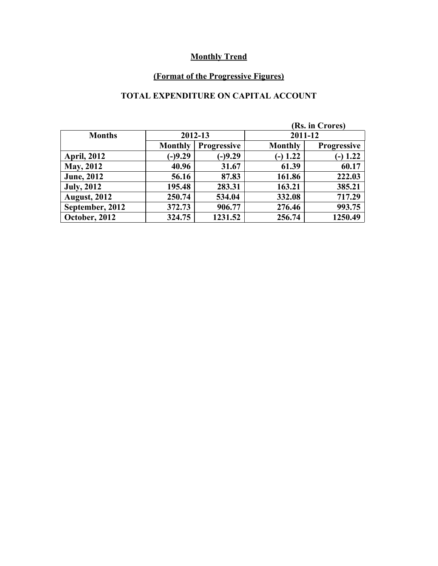### **(Format of the Progressive Figures)**

### **TOTAL EXPENDITURE ON CAPITAL ACCOUNT**

|                     |                |                    | (Rs. in Crores) |                    |  |
|---------------------|----------------|--------------------|-----------------|--------------------|--|
| <b>Months</b>       | 2012-13        |                    | 2011-12         |                    |  |
|                     | <b>Monthly</b> | <b>Progressive</b> | <b>Monthly</b>  | <b>Progressive</b> |  |
| <b>April, 2012</b>  | $(-)9.29$      | $(-)9.29$          | $(-) 1.22$      | $(-) 1.22$         |  |
| <b>May, 2012</b>    | 40.96          | 31.67              | 61.39           | 60.17              |  |
| <b>June</b> , 2012  | 56.16          | 87.83              | 161.86          | 222.03             |  |
| <b>July, 2012</b>   | 195.48         | 283.31             | 163.21          | 385.21             |  |
| <b>August, 2012</b> | 250.74         | 534.04             | 332.08          | 717.29             |  |
| September, 2012     | 372.73         | 906.77             | 276.46          | 993.75             |  |
| October, 2012       | 324.75         | 1231.52            | 256.74          | 1250.49            |  |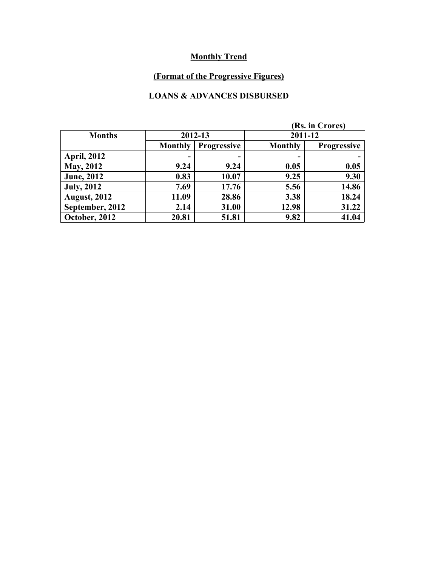### **(Format of the Progressive Figures)**

### **LOANS & ADVANCES DISBURSED**

|                     |                |                    |                | (Rs. in Crores)    |  |  |
|---------------------|----------------|--------------------|----------------|--------------------|--|--|
| <b>Months</b>       | 2012-13        |                    | 2011-12        |                    |  |  |
|                     | <b>Monthly</b> | <b>Progressive</b> | <b>Monthly</b> | <b>Progressive</b> |  |  |
| <b>April, 2012</b>  |                | ۰                  | -              |                    |  |  |
| <b>May, 2012</b>    | 9.24           | 9.24               | 0.05           | 0.05               |  |  |
| <b>June</b> , 2012  | 0.83           | 10.07              | 9.25           | 9.30               |  |  |
| <b>July, 2012</b>   | 7.69           | 17.76              | 5.56           | 14.86              |  |  |
| <b>August, 2012</b> | 11.09          | 28.86              | 3.38           | 18.24              |  |  |
| September, 2012     | 2.14           | 31.00              | 12.98          | 31.22              |  |  |
| October, 2012       | 20.81          | 51.81              | 9.82           | 41.04              |  |  |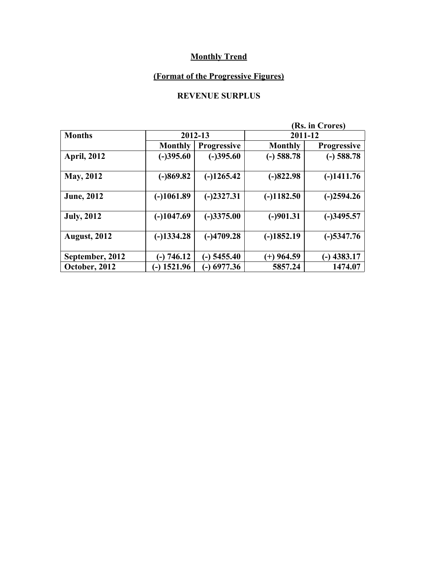### **(Format of the Progressive Figures)**

### **REVENUE SURPLUS**

|                     |                              |                    | (Rs. in Crores) |                    |  |  |
|---------------------|------------------------------|--------------------|-----------------|--------------------|--|--|
| <b>Months</b>       |                              | 2012-13            |                 | 2011-12            |  |  |
|                     | <b>Monthly</b>               | <b>Progressive</b> | <b>Monthly</b>  | <b>Progressive</b> |  |  |
| <b>April, 2012</b>  | $(-)395.60$                  | $(-)395.60$        | $(-)$ 588.78    | $(-)$ 588.78       |  |  |
| <b>May, 2012</b>    | $(-)869.82$                  | $(-)1265.42$       | $(-)822.98$     | $(-)1411.76$       |  |  |
| <b>June, 2012</b>   | $(-)1061.89$                 | $(-)2327.31$       | $(-)1182.50$    | $(-)2594.26$       |  |  |
| <b>July, 2012</b>   | $(-)1047.69$                 | $(-)3375.00$       | $(-)901.31$     | $(-)3495.57$       |  |  |
| <b>August, 2012</b> | $(-)1334.28$                 | $(-)4709.28$       | $(-)1852.19$    | $(-)$ 5347.76      |  |  |
| September, 2012     | (-) 746.12                   | $(-)$ 5455.40      | $(+)$ 964.59    | $-$ ) 4383.17      |  |  |
| October, 2012       | 1521.96<br>$\left( -\right)$ | $(-)$ 6977.36      | 5857.24         | 1474.07            |  |  |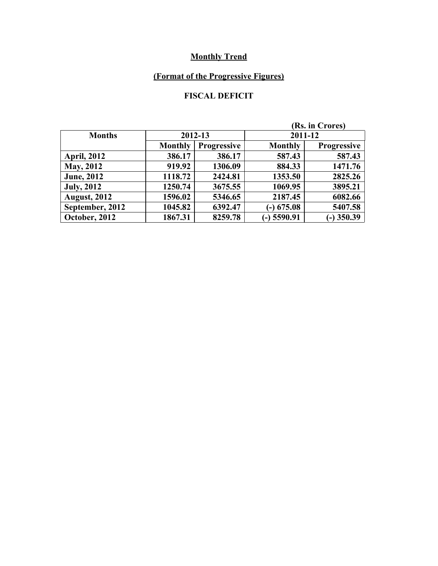### **(Format of the Progressive Figures)**

### **FISCAL DEFICIT**

|                     |                |                    | (Rs. in Crores) |                    |  |
|---------------------|----------------|--------------------|-----------------|--------------------|--|
| <b>Months</b>       | 2012-13        |                    | 2011-12         |                    |  |
|                     | <b>Monthly</b> | <b>Progressive</b> | <b>Monthly</b>  | <b>Progressive</b> |  |
| <b>April, 2012</b>  | 386.17         | 386.17             | 587.43          | 587.43             |  |
| <b>May, 2012</b>    | 919.92         | 1306.09            | 884.33          | 1471.76            |  |
| <b>June, 2012</b>   | 1118.72        | 2424.81            | 1353.50         | 2825.26            |  |
| <b>July, 2012</b>   | 1250.74        | 3675.55            | 1069.95         | 3895.21            |  |
| <b>August, 2012</b> | 1596.02        | 5346.65            | 2187.45         | 6082.66            |  |
| September, 2012     | 1045.82        | 6392.47            | $(-)$ 675.08    | 5407.58            |  |
| October, 2012       | 1867.31        | 8259.78            | $(-)$ 5590.91   | $(-)$ 350.39       |  |